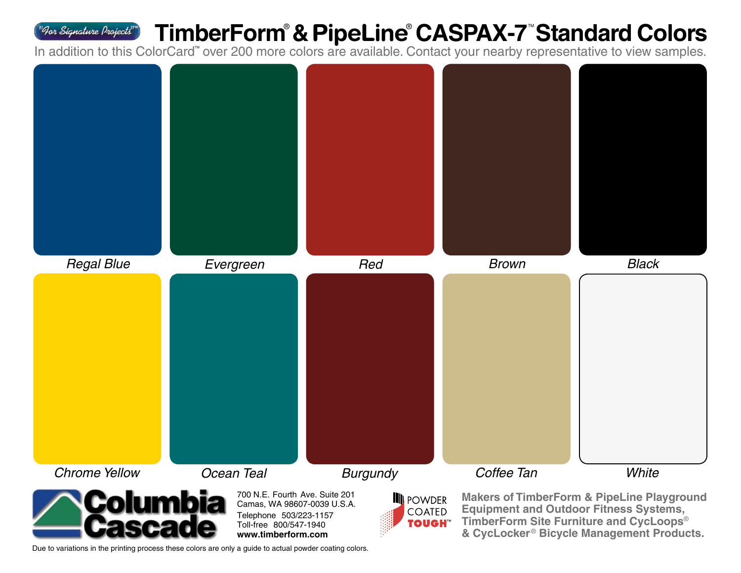## **TimberForm**®  **& PipeLine**®  **CASPAX-7**TM **Standard Colors**

In addition to this ColorCard" over 200 more colors are available. Contact your nearby representative to view samples.



Due to variations in the printing process these colors are only a guide to actual powder coating colors.

**www.timberform.com**